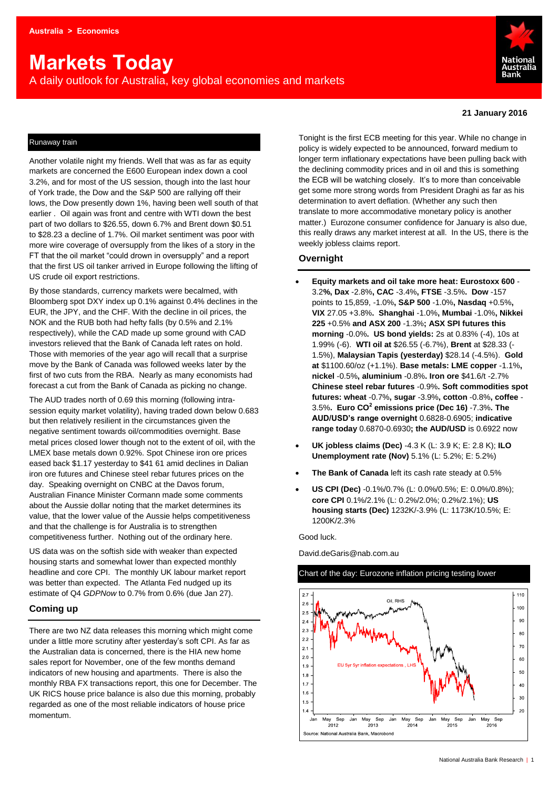# **Markets Today**

A daily outlook for Australia, key global economies and markets



#### **21 January 2016**

# Runaway train

Another volatile night my friends. Well that was as far as equity markets are concerned the E600 European index down a cool 3.2%, and for most of the US session, though into the last hour of York trade, the Dow and the S&P 500 are rallying off their lows, the Dow presently down 1%, having been well south of that earlier . Oil again was front and centre with WTI down the best part of two dollars to \$26.55, down 6.7% and Brent down \$0.51 to \$28.23 a decline of 1.7%. Oil market sentiment was poor with more wire coverage of oversupply from the likes of a story in the FT that the oil market "could drown in oversupply" and a report that the first US oil tanker arrived in Europe following the lifting of US crude oil export restrictions.

By those standards, currency markets were becalmed, with Bloomberg spot DXY index up 0.1% against 0.4% declines in the EUR, the JPY, and the CHF. With the decline in oil prices, the NOK and the RUB both had hefty falls (by 0.5% and 2.1% respectively), while the CAD made up some ground with CAD investors relieved that the Bank of Canada left rates on hold. Those with memories of the year ago will recall that a surprise move by the Bank of Canada was followed weeks later by the first of two cuts from the RBA. Nearly as many economists had forecast a cut from the Bank of Canada as picking no change.

The AUD trades north of 0.69 this morning (following intrasession equity market volatility), having traded down below 0.683 but then relatively resilient in the circumstances given the negative sentiment towards oil/commodities overnight. Base metal prices closed lower though not to the extent of oil, with the LMEX base metals down 0.92%. Spot Chinese iron ore prices eased back \$1.17 yesterday to \$41 61 amid declines in Dalian iron ore futures and Chinese steel rebar futures prices on the day. Speaking overnight on CNBC at the Davos forum, Australian Finance Minister Cormann made some comments about the Aussie dollar noting that the market determines its value, that the lower value of the Aussie helps competitiveness and that the challenge is for Australia is to strengthen competitiveness further. Nothing out of the ordinary here.

US data was on the softish side with weaker than expected housing starts and somewhat lower than expected monthly headline and core CPI. The monthly UK labour market report was better than expected. The Atlanta Fed nudged up its estimate of Q4 *GDPNow* to 0.7% from 0.6% (due Jan 27).

# **Coming up**

There are two NZ data releases this morning which might come under a little more scrutiny after yesterday's soft CPI. As far as the Australian data is concerned, there is the HIA new home sales report for November, one of the few months demand indicators of new housing and apartments. There is also the monthly RBA FX transactions report, this one for December. The UK RICS house price balance is also due this morning, probably regarded as one of the most reliable indicators of house price momentum.

Tonight is the first ECB meeting for this year. While no change in policy is widely expected to be announced, forward medium to longer term inflationary expectations have been pulling back with the declining commodity prices and in oil and this is something the ECB will be watching closely. It's to more than conceivable get some more strong words from President Draghi as far as his determination to avert deflation. (Whether any such then translate to more accommodative monetary policy is another matter.) Eurozone consumer confidence for January is also due, this really draws any market interest at all. In the US, there is the weekly jobless claims report.

## **Overnight**

- **Equity markets and oil take more heat: Eurostoxx 600**  3.2**%, Dax** -2.8%**, CAC** -3.4%**, FTSE** -3.5%**. Dow** -157 points to 15,859, -1.0%**, S&P 500** -1.0%**, Nasdaq** +0.5%**, VIX** 27.05 +3.8%**. Shanghai** -1.0%**, Mumbai** -1.0%**, Nikkei 225** +0.5% **and ASX 200** -1.3%**; ASX SPI futures this morning** -0.0%**. US bond yields:** 2s at 0.83% (-4), 10s at 1.99% (-6). **WTI oil at** \$26.55 (-6.7%), **Brent** at \$28.33 (- 1.5%), **Malaysian Tapis (yesterday)** \$28.14 (-4.5%). **Gold at** \$1100.60/oz (+1.1%). **Base metals: LME copper** -1.1%**, nickel** -0.5%**, aluminium** -0.8%**. Iron ore** \$41.6/t -2.7% **Chinese steel rebar futures** -0.9%**. Soft commodities spot futures: wheat** -0.7%**, sugar** -3.9%**, cotton** -0.8%**, coffee** - 3.5%**. Euro CO<sup>2</sup> emissions price (Dec 16)** -7.3%**. The AUD/USD's range overnight** 0.6828-0.6905; **indicative range today** 0.6870-0.6930**; the AUD/USD** is 0.6922 now
- **UK jobless claims (Dec)** -4.3 K (L: 3.9 K; E: 2.8 K); **ILO Unemployment rate (Nov)** 5.1% (L: 5.2%; E: 5.2%)
- **The Bank of Canada** left its cash rate steady at 0.5%
- **US CPI (Dec)** -0.1%/0.7% (L: 0.0%/0.5%; E: 0.0%/0.8%); **core CPI** 0.1%/2.1% (L: 0.2%/2.0%; 0.2%/2.1%); **US housing starts (Dec)** 1232K/-3.9% (L: 1173K/10.5%; E: 1200K/2.3%

Good luck.

David.deGaris@nab.com.au

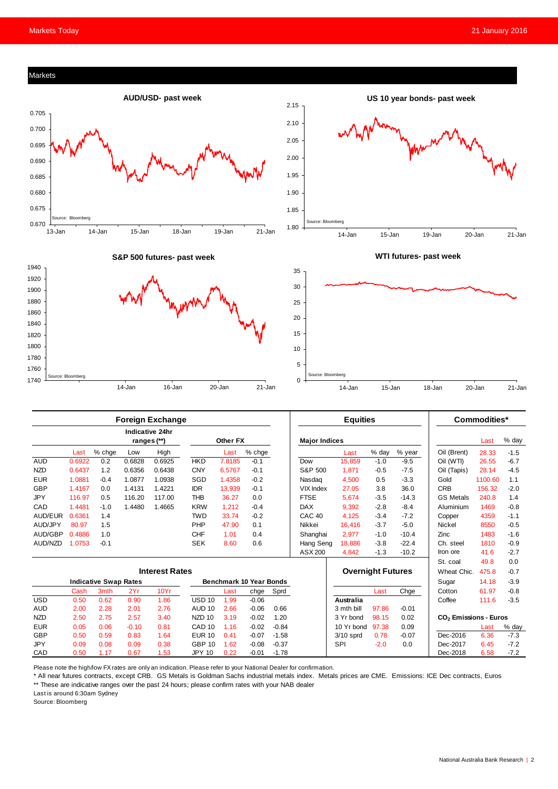

|                              | Foreign Exchange      |        |         |                                |                   |          |         |         | <b>Equities</b>          |             |        |             | Commodities                       |         |        |
|------------------------------|-----------------------|--------|---------|--------------------------------|-------------------|----------|---------|---------|--------------------------|-------------|--------|-------------|-----------------------------------|---------|--------|
|                              |                       |        |         | Indicative 24hr<br>ranges (**) |                   | Other FX |         |         | <b>Major Indices</b>     |             |        |             |                                   | Last    | % day  |
|                              | Last                  | % chge | Low     | High                           |                   | Last     | % chge  |         |                          | Last        | % day  | % year      | Oil (Brent)                       | 28.33   | $-1.5$ |
| <b>AUD</b>                   | 0.6922                | 0.2    | 0.6828  | 0.6925                         | <b>HKD</b>        | 7.8185   | $-0.1$  |         | Dow                      | 15,859      | $-1.0$ | $-9.5$      | Oil (WTI)                         | 26.55   | $-6.7$ |
| <b>NZD</b>                   | 0.6437                | 1.2    | 0.6356  | 0.6438                         | <b>CNY</b>        | 6.5767   | $-0.1$  |         | S&P 500                  | 1,871       | $-0.5$ | $-7.5$      | Oil (Tapis)                       | 28.14   | $-4.5$ |
| <b>EUR</b>                   | 1.0881                | $-0.4$ | 1.0877  | 1.0938                         | SGD               | 1.4358   | $-0.2$  |         | Nasdag                   | 4,500       | 0.5    | $-3.3$      | Gold                              | 1100.60 | 1.1    |
| <b>GBP</b>                   | 1.4167                | 0.0    | 1.4131  | 1.4221                         | <b>IDR</b>        | 13,939   | $-0.1$  |         | <b>VIX Index</b>         | 27.05       | 3.8    | 36.0        | <b>CRB</b>                        | 156.32  | $-2.0$ |
| <b>JPY</b>                   | 116.97                | 0.5    | 116.20  | 117.00                         | <b>THB</b>        | 36.27    | 0.0     |         | <b>FTSE</b>              | 5,674       | $-3.5$ | $-14.3$     | <b>GS Metals</b>                  | 240.8   | 1.4    |
| CAD                          | 1.4481                | $-1.0$ | 1.4480  | 1.4665                         | <b>KRW</b>        | 1,212    | $-0.4$  |         | <b>DAX</b>               | 9,392       | $-2.8$ | $-8.4$      | Aluminium                         | 1469    | $-0.8$ |
| AUD/EUR                      | 0.6361                | 1.4    |         |                                | <b>TWD</b>        | 33.74    | $-0.2$  |         | CAC <sub>40</sub>        | 4,125       | $-3.4$ | $-7.2$      | Copper                            | 4359    | $-1.1$ |
| AUD/JPY                      | 80.97                 | 1.5    |         |                                | PHP               | 47.90    | 0.1     |         | Nikkei                   | 16,416      | $-3.7$ | $-5.0$      | Nickel                            | 8550    | $-0.5$ |
| AUD/GBP                      | 0.4886                | 1.0    |         |                                | <b>CHF</b>        | 1.01     | 0.4     |         | Shanghai                 | 2,977       | $-1.0$ | $-10.4$     | Zinc                              | 1483    | $-1.6$ |
| AUD/NZD                      | 1.0753                | $-0.1$ |         |                                | <b>SEK</b>        | 8.60     | 0.6     |         | Hang Seng                | 18,886      | $-3.8$ | $-22.4$     | Ch. steel                         | 1810    | $-0.9$ |
|                              |                       |        |         |                                |                   |          |         |         | ASX 200                  | 4,842       | $-1.3$ | $-10.2$     | Iron ore                          | 41.6    | $-2.7$ |
|                              |                       |        |         |                                |                   |          |         |         |                          |             |        |             | St. coal                          | 49.8    | 0.0    |
|                              | <b>Interest Rates</b> |        |         |                                |                   |          |         |         | <b>Overnight Futures</b> |             |        | Wheat Chic. | 475.8                             | $-0.7$  |        |
| <b>Indicative Swap Rates</b> |                       |        |         | <b>Benchmark 10 Year Bonds</b> |                   |          |         |         |                          |             |        | Sugar       | 14.18                             | $-3.9$  |        |
|                              | Cash                  | 3mth   | 2Yr     | 10Yr                           |                   | Last     | chge    | Sprd    |                          |             | Last   | Chge        | Cotton                            | 61.97   | $-0.8$ |
| <b>USD</b>                   | 0.50                  | 0.62   | 0.90    | 1.86                           | <b>USD 10</b>     | 1.99     | $-0.06$ |         |                          | Australia   |        |             | Coffee                            | 111.6   | $-3.5$ |
| <b>AUD</b>                   | 2.00                  | 2.28   | 2.01    | 2.76                           | <b>AUD 10</b>     | 2.66     | $-0.06$ | 0.66    |                          | 3 mth bill  | 97.86  | $-0.01$     |                                   |         |        |
| <b>NZD</b>                   | 2.50                  | 2.75   | 2.57    | 3.40                           | NZD <sub>10</sub> | 3.19     | $-0.02$ | 1.20    |                          | 3 Yr bond   | 98.15  | 0.02        | CO <sub>2</sub> Emissions - Euros |         |        |
| <b>EUR</b>                   | 0.05                  | 0.06   | $-0.10$ | 0.81                           | CAD <sub>10</sub> | 1.16     | $-0.02$ | $-0.84$ |                          | 10 Yr bond  | 97.38  | 0.09        |                                   | Last    | % day  |
| <b>GBP</b>                   | 0.50                  | 0.59   | 0.83    | 1.64                           | <b>EUR 10</b>     | 0.41     | $-0.07$ | $-1.58$ |                          | $3/10$ sprd | 0.78   | $-0.07$     | Dec-2016                          | 6.36    | $-7.3$ |
| <b>JPY</b>                   | 0.09                  | 0.08   | 0.09    | 0.38                           | <b>GBP 10</b>     | 1.62     | $-0.08$ | $-0.37$ |                          | <b>SPI</b>  | $-2.0$ | 0.0         | Dec-2017                          | 6.45    | $-7.2$ |
| CAD                          | 0.50                  | 1.17   | 0.67    | 1.53                           | <b>JPY 10</b>     | 0.22     | $-0.01$ | $-1.78$ |                          |             |        |             | Dec-2018                          | 6.58    | $-7.2$ |

Please note the high/low FX rates are only an indication. Please refer to your National Dealer for confirmation.

\* All near futures contracts, except CRB. GS Metals is Goldman Sachs industrial metals index. Metals prices are CME. Emissions: ICE Dec contracts, Euros \*\* These are indicative ranges over the past 24 hours; please confirm rates with your NAB dealer

Last is around 6:30am Sydney

Source: Bloomberg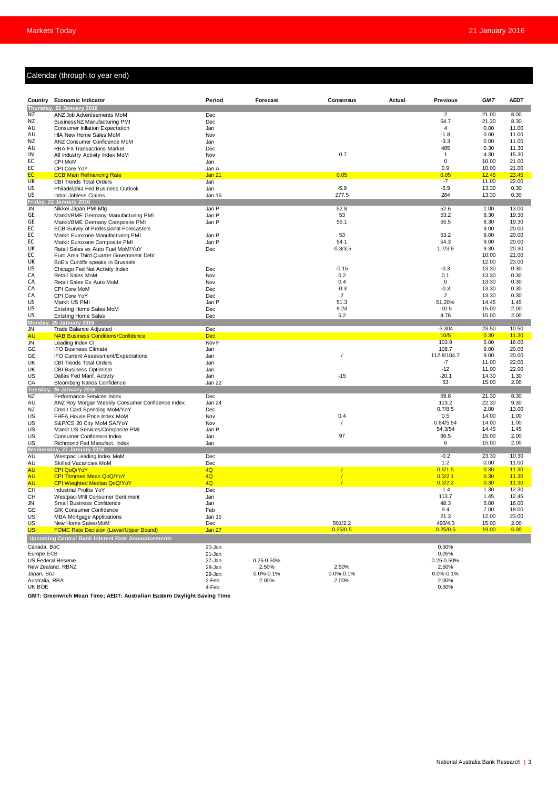# Calendar (through to year end)

|                                                          | Calendar (through to year end)                                                |                  |                 |                 |        |                 |                |                |  |
|----------------------------------------------------------|-------------------------------------------------------------------------------|------------------|-----------------|-----------------|--------|-----------------|----------------|----------------|--|
|                                                          |                                                                               |                  |                 |                 |        |                 |                |                |  |
|                                                          |                                                                               |                  |                 |                 |        |                 |                |                |  |
|                                                          | Country Economic Indicator                                                    | Period           | Forecast        | Consensus       | Actual | <b>Previous</b> | <b>GMT</b>     | <b>AEDT</b>    |  |
| ΝZ                                                       | Thursday, 21 January 2016<br>ANZ Job Advertisements MoM                       | Dec              |                 |                 |        | $\overline{2}$  | 21.00          | 8.00           |  |
| ΝZ                                                       | BusinessNZ Manufacturing PMI                                                  | Dec              |                 |                 |        | 54.7            | 21.30          | 8.30           |  |
| AU                                                       | <b>Consumer Inflation Expectation</b>                                         | Jan              |                 |                 |        | $\overline{4}$  | 0.00           | 11.00          |  |
| AU                                                       | HIA New Home Sales MoM                                                        | Nov              |                 |                 |        | $-1.8$          | 0.00           | 11.00          |  |
| NZ                                                       | ANZ Consumer Confidence MoM                                                   | Jan              |                 |                 |        | $-3.3$          | 0.00           | 11.00          |  |
| AU                                                       | <b>RBA FX Transactions Market</b>                                             | Dec              |                 |                 |        | 485             | 0.30           | 11.30          |  |
| JN                                                       | All Industry Activity Index MoM                                               | Nov              |                 | $-0.7$          |        | $\mathbf{1}$    | 4.30           | 15.30          |  |
| EC                                                       | CPI MoM                                                                       | Jan              |                 |                 |        | 0               | 10.00          | 21.00          |  |
| EC                                                       | CPI Core YoY                                                                  | Jan A            |                 |                 |        | 0.9             | 10.00          | 21.00          |  |
| EC<br><b>UK</b>                                          | <b>ECB Main Refinancing Rate</b><br><b>CBI Trends Total Orders</b>            | Jan 21           |                 | 0.05            |        | 0.05<br>$-7$    | 12.45<br>11.00 | 23.45<br>22.00 |  |
| US                                                       | Philadelphia Fed Business Outlook                                             | Jan<br>Jan       |                 | $-5.9$          |        | $-5.9$          | 13.30          | 0.30           |  |
| US                                                       | Initial Jobless Claims                                                        | Jan 16           |                 | 277.5           |        | 284             | 13.30          | 0.30           |  |
|                                                          | Friday, 22 January 2016                                                       |                  |                 |                 |        |                 |                |                |  |
| <b>JN</b>                                                | Nikkei Japan PMI Mfg                                                          | Jan P            |                 | 52.8            |        | 52.6            | 2.00           | 13.00          |  |
| GE                                                       | Markit/BME Germany Manufacturing PMI                                          | Jan P            |                 | 53              |        | 53.2            | 8.30           | 19.30          |  |
| GE                                                       | Markit/BME Germany Composite PMI                                              | Jan P            |                 | 55.1            |        | 55.5            | 8.30           | 19.30          |  |
| EC                                                       | ECB Survey of Professional Forecasters                                        |                  |                 |                 |        |                 | 9.00           | 20.00          |  |
| EC                                                       | Markit Eurozone Manufacturing PMI                                             | Jan P            |                 | 53              |        | 53.2            | 9.00           | 20.00          |  |
| EC                                                       | Markit Eurozone Composite PMI                                                 | Jan P            |                 | 54.1            |        | 54.3            | 9.00           | 20.00          |  |
| UK<br>EC                                                 | Retail Sales ex Auto Fuel MoM/YoY<br>Euro Area Third Quarter Government Debt  | Dec              |                 | $-0.3/3.5$      |        | 1.7/3.9         | 9.30<br>10.00  | 20.30<br>21.00 |  |
| UK                                                       | BoE's Cunliffe speaks in Brussels                                             |                  |                 |                 |        |                 | 12.00          | 23.00          |  |
| US                                                       | Chicago Fed Nat Activity Index                                                | Dec              |                 | $-0.15$         |        | $-0.3$          | 13.30          | 0.30           |  |
| СA                                                       | <b>Retail Sales MoM</b>                                                       | Nov              |                 | 0.2             |        | 0.1             | 13.30          | 0.30           |  |
| СA                                                       | Retail Sales Ex Auto MoM                                                      | Nov              |                 | 0.4             |        | 0               | 13.30          | 0.30           |  |
| СA                                                       | CPI Core MoM                                                                  | Dec              |                 | $-0.3$          |        | $-0.3$          | 13.30          | 0.30           |  |
| CA                                                       | CPI Core YoY                                                                  | Dec              |                 | $\overline{2}$  |        | 2               | 13.30          | 0.30           |  |
| US                                                       | Markit US PMI                                                                 | Jan P            |                 | 51.3            |        | 51.20%          | 14.45          | 1.45           |  |
| US                                                       | <b>Existing Home Sales MoM</b>                                                | Dec              |                 | 9.24            |        | $-10.5$         | 15.00          | 2.00           |  |
| US                                                       | <b>Existing Home Sales</b>                                                    | Dec              |                 | 5.2             |        | 4.76            | 15.00          | 2.00           |  |
| JN                                                       | Monday, 25 January 2016<br>Trade Balance Adjusted                             | Dec              |                 |                 |        | $-3.304$        | 23.50          | 10.50          |  |
| AU                                                       | <b>NAB Business Conditions/Confidence</b>                                     | <b>Dec</b>       |                 |                 |        | 10/5            | 0.30           | 11.30          |  |
| JN                                                       | Leading Index CI                                                              | Nov <sub>F</sub> |                 |                 |        | 103.9           | 5.00           | 16.00          |  |
| GЕ                                                       | <b>IFO Business Climate</b>                                                   | Jan              |                 |                 |        | 108.7           | 9.00           | 20.00          |  |
| GE                                                       | IFO Current Assessment/Expectations                                           | Jan              |                 |                 |        | 112.8/104.7     | 9.00           | 20.00          |  |
| UK                                                       | <b>CBI Trends Total Orders</b>                                                | Jan              |                 |                 |        | -7              | 11.00          | 22.00          |  |
| UK                                                       | <b>CBI Business Optimism</b>                                                  | Jan              |                 |                 |        | $-12$           | 11.00          | 22.00          |  |
| US                                                       | Dallas Fed Manf. Activity                                                     | Jan              |                 | $-15$           |        | $-20.1$         | 14.30          | 1.30           |  |
| CA                                                       | <b>Bloomberg Nanos Confidence</b>                                             | Jan 22           |                 |                 |        | 53              | 15.00          | 2.00           |  |
|                                                          | Tuesday, 26 January 2016                                                      |                  |                 |                 |        | 59.8            | 21.30          | 8.30           |  |
| NZ<br>AU                                                 | Performance Services Index<br>ANZ Roy Morgan Weekly Consumer Confidence Index | Dec<br>Jan 24    |                 |                 |        | 113.2           | 22.30          | 9.30           |  |
| ΝZ                                                       | Credit Card Spending MoM/YoY                                                  | Dec              |                 |                 |        | 0.7/8.5         | 2.00           | 13.00          |  |
| US                                                       | FHFA House Price Index MoM                                                    | Nov              |                 | 0.4             |        | 0.5             | 14.00          | 1.00           |  |
| US                                                       | S&P/CS 20 City MoM SA/YoY                                                     | Nov              |                 |                 |        | 0.84/5.54       | 14.00          | 1.00           |  |
| US                                                       | Markit US Services/Composite PMI                                              | Jan P            |                 |                 |        | 54.3/54         | 14.45          | 1.45           |  |
| US                                                       | Consumer Confidence Index                                                     | Jan              |                 | 97              |        | 96.5            | 15.00          | 2.00           |  |
| US                                                       | Richmond Fed Manufact, Index                                                  | Jan              |                 |                 |        | 6               | 15.00          | 2.00           |  |
|                                                          | Wednesday, 27 January 2016                                                    |                  |                 |                 |        |                 |                |                |  |
| AU                                                       | Westpac Leading Index MoM                                                     | Dec              |                 |                 |        | $-0.2$          | 23.30<br>0.00  | 10.30          |  |
| AU<br><b>AU</b>                                          | Skilled Vacancies MoM<br>CPI QoQ/YoY                                          | Dec<br>4Q        |                 |                 |        | 1.2<br>0.5/1.5  | 0.30           | 11.00<br>11.30 |  |
| <b>AU</b>                                                | CPI Trimmed Mean QoQ/YoY                                                      | 4Q               |                 |                 |        | 0.3/2.1         | 0.30           | 11.30          |  |
| <b>AU</b>                                                | CPI Weighted Median QoQ/YoY                                                   | 4Q               |                 | $\overline{1}$  |        | 0.3/2.2         | 0.30           | 11.30          |  |
| CH                                                       | <b>Industrial Profits YoY</b>                                                 | Dec              |                 |                 |        | $-1.4$          | 1.30           | 12.30          |  |
| CH                                                       | Westpac-MNI Consumer Sentiment                                                | Jan              |                 |                 |        | 113.7           | 1.45           | 12.45          |  |
| JN                                                       | Small Business Confidence                                                     | Jan              |                 |                 |        | 48.3            | 5.00           | 16.00          |  |
| GE                                                       | GfK Consumer Confidence                                                       | Feb              |                 |                 |        | 9.4             | 7.00           | 18.00          |  |
| US                                                       | <b>MBA Mortgage Applications</b>                                              | Jan 15           |                 |                 |        | 21.3            | 12.00          | 23.00          |  |
| US                                                       | New Home Sales/MoM                                                            | Dec              |                 | 501/2.2         |        | 490/4.3         | 15.00          | 2.00           |  |
| <b>US</b>                                                | <b>FOMC Rate Decision (Lower/Upper Bound)</b>                                 | Jan 27           |                 | 0.25/0.5        |        | 0.25/0.5        | 19.00          | 6.00           |  |
| <b>Upcoming Central Bank Interest Rate Announcements</b> |                                                                               |                  |                 |                 |        |                 |                |                |  |
| Canada, BoC                                              |                                                                               | 20-Jan           |                 |                 |        | 0.50%           |                |                |  |
| Europe ECB                                               |                                                                               | 21-Jan           |                 |                 |        | 0.05%           |                |                |  |
| US Federal Reserve                                       |                                                                               | 27-Jan           | 0.25-0.50%      |                 |        | $0.25 - 0.50%$  |                |                |  |
| New Zealand, RBNZ                                        |                                                                               | 28-Jan           | 2.50%           | 2.50%           |        | 2.50%           |                |                |  |
| Japan, BoJ                                               |                                                                               | 29-Jan           | $0.0\% - 0.1\%$ | $0.0\% - 0.1\%$ |        | $0.0\% - 0.1\%$ |                |                |  |
| Australia, RBA<br>UK BOE                                 |                                                                               | 2-Feb<br>4-Feb   | 2.00%           | 2.00%           |        | 2.00%<br>0.50%  |                |                |  |
|                                                          |                                                                               |                  |                 |                 |        |                 |                |                |  |

**GMT: Greenwich Mean Time; AEDT: Australian Eastern Daylight Saving Time**